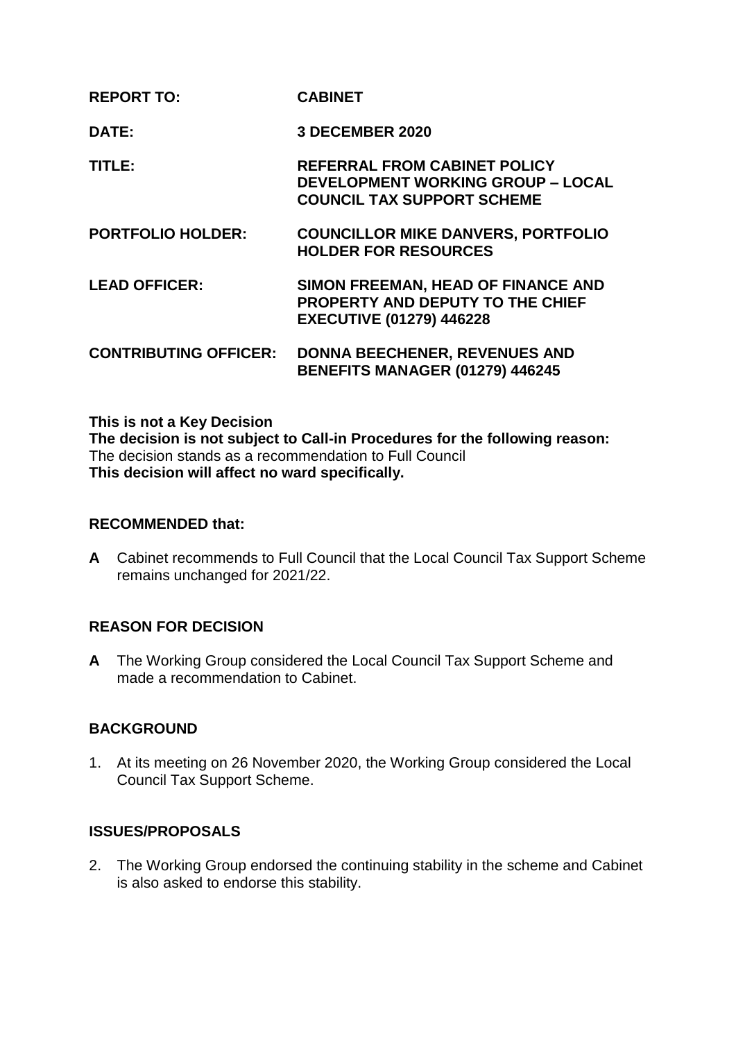| <b>REPORT TO:</b>            | <b>CABINET</b>                                                                                                       |
|------------------------------|----------------------------------------------------------------------------------------------------------------------|
| DATE:                        | <b>3 DECEMBER 2020</b>                                                                                               |
| TITLE:                       | <b>REFERRAL FROM CABINET POLICY</b><br><b>DEVELOPMENT WORKING GROUP - LOCAL</b><br><b>COUNCIL TAX SUPPORT SCHEME</b> |
| <b>PORTFOLIO HOLDER:</b>     | <b>COUNCILLOR MIKE DANVERS, PORTFOLIO</b><br><b>HOLDER FOR RESOURCES</b>                                             |
| <b>LEAD OFFICER:</b>         | SIMON FREEMAN, HEAD OF FINANCE AND<br>PROPERTY AND DEPUTY TO THE CHIEF<br><b>EXECUTIVE (01279) 446228</b>            |
| <b>CONTRIBUTING OFFICER:</b> | <b>DONNA BEECHENER, REVENUES AND</b><br><b>BENEFITS MANAGER (01279) 446245</b>                                       |

#### **This is not a Key Decision**

**The decision is not subject to Call-in Procedures for the following reason:** The decision stands as a recommendation to Full Council **This decision will affect no ward specifically.**

#### **RECOMMENDED that:**

**A** Cabinet recommends to Full Council that the Local Council Tax Support Scheme remains unchanged for 2021/22.

# **REASON FOR DECISION**

**A** The Working Group considered the Local Council Tax Support Scheme and made a recommendation to Cabinet.

# **BACKGROUND**

1. At its meeting on 26 November 2020, the Working Group considered the Local Council Tax Support Scheme.

# **ISSUES/PROPOSALS**

2. The Working Group endorsed the continuing stability in the scheme and Cabinet is also asked to endorse this stability.